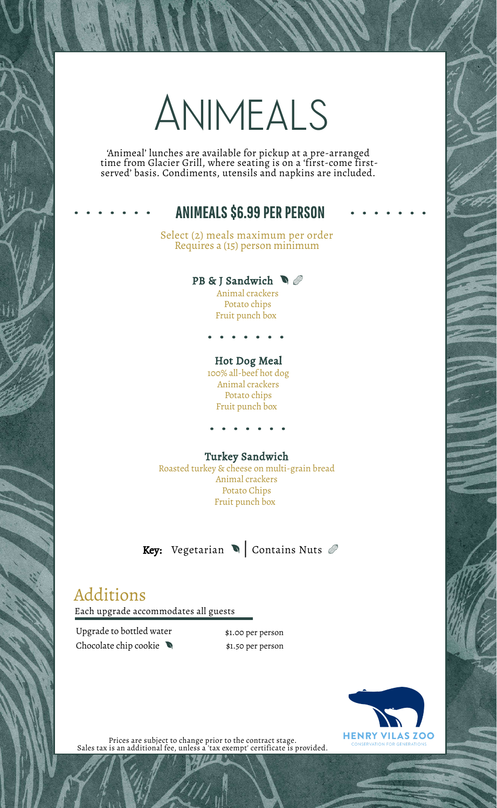# Animeals

'Animeal' lunches are available for pickup at a pre-arranged time from Glacier Grill, where seating is on a 'first-come firstserved' basis. Condiments, utensils and napkins are included.

### ANIMEALS \$6.99 PER PERSON

Select (2) meals maximum per order Requires a (15) person minimum

#### PB & J Sandwich  $\bigcirc$ Animal crackers

Potato chips Fruit punch box

#### Hot Dog Meal

100% all-beef hot dog Animal crackers Potato chips Fruit punch box

#### Turkey Sandwich

Roasted turkey & cheese on multi-grain bread Animal crackers Potato Chips Fruit punch box

**Key:** Vegetarian  $\blacksquare$  Contains Nuts  $\emptyset$ 

## Additions

Each upgrade accommodates all guests

Upgrade to bottled water \$1.00 per person Chocolate chip cookie  $\bigotimes$  \$1.50 per person



Prices are subject to change prior to the contract stage. Sales tax is an additional fee, unless a 'tax exempt' certificate is provided.